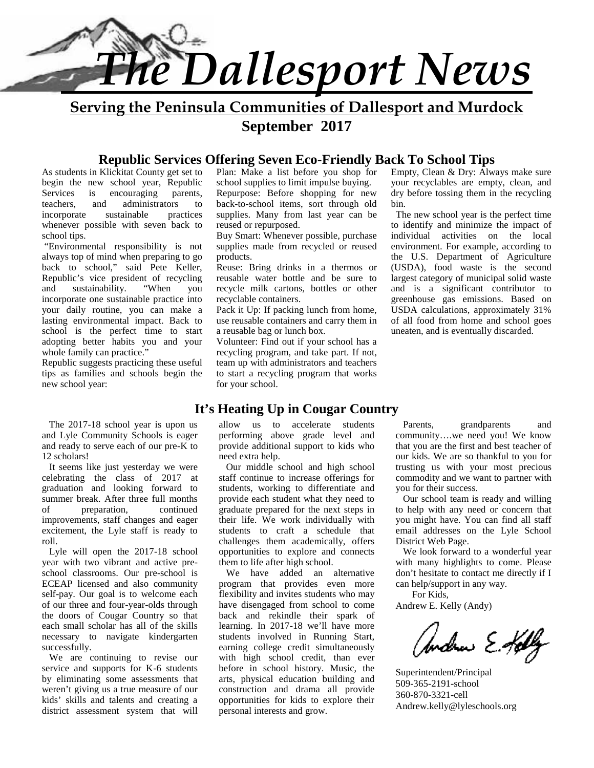

**Serving the Peninsula Communities of Dallesport and Murdock September 2017**

#### **Republic Services Offering Seven Eco-Friendly Back To School Tips**

As students in Klickitat County get set to begin the new school year, Republic Services is encouraging parents, teachers, and administrators to incorporate sustainable practices whenever possible with seven back to school tips.

 "Environmental responsibility is not always top of mind when preparing to go back to school," said Pete Keller, Republic's vice president of recycling and sustainability. "When you incorporate one sustainable practice into your daily routine, you can make a lasting environmental impact. Back to school is the perfect time to start adopting better habits you and your whole family can practice."

Republic suggests practicing these useful tips as families and schools begin the new school year:

The 2017-18 school year is upon us and Lyle Community Schools is eager and ready to serve each of our pre-K to 12 scholars!

It seems like just yesterday we were celebrating the class of 2017 at graduation and looking forward to summer break. After three full months of preparation, continued improvements, staff changes and eager excitement, the Lyle staff is ready to roll.

Lyle will open the 2017-18 school year with two vibrant and active pre school classrooms. Our pre-school is ECEAP licensed and also community self-pay. Our goal is to welcome each of our three and four-year-olds through the doors of Cougar Country so that each small scholar has all of the skills necessary to navigate kindergarten successfully.

We are continuing to revise our service and supports for K-6 students by eliminating some assessments that weren't giving us a true measure of our kids' skills and talents and creating a district assessment system that will

Plan: Make a list before you shop for school supplies to limit impulse buying. Repurpose: Before shopping for new back-to-school items, sort through old supplies. Many from last year can be reused or repurposed.

Buy Smart: Whenever possible, purchase supplies made from recycled or reused products.

Reuse: Bring drinks in a thermos or reusable water bottle and be sure to recycle milk cartons, bottles or other recyclable containers.

Pack it Up: If packing lunch from home, use reusable containers and carry them in a reusable bag or lunch box.

Volunteer: Find out if your school has a recycling program, and take part. If not, team up with administrators and teachers to start a recycling program that works for your school.

Empty, Clean & Dry: Always make sure your recyclables are empty, clean, and dry before tossing them in the recycling bin.

 The new school year is the perfect time to identify and minimize the impact of individual activities on the local environment. For example, according to the U.S. Department of Agriculture (USDA), food waste is the second largest category of municipal solid waste and is a significant contributor to greenhouse gas emissions. Based on USDA calculations, approximately 31% of all food from home and school goes uneaten, and is eventually discarded.

## **It's Heating Up in Cougar Country**

allow us to accelerate students performing above grade level and provide additional support to kids who need extra help.

Our middle school and high school staff continue to increase offerings for students, working to differentiate and provide each student what they need to graduate prepared for the next steps in their life. We work individually with students to craft a schedule that challenges them academically, offers opportunities to explore and connects them to life after high school.

We have added an alternative program that provides even more flexibility and invites students who may have disengaged from school to come back and rekindle their spark of learning. In 2017-18 we'll have more students involved in Running Start, earning college credit simultaneously with high school credit, than ever before in school history. Music, the arts, physical education building and construction and drama all provide opportunities for kids to explore their personal interests and grow.

grandparents and community….we need you! We know that you are the first and best teacher of our kids. We are so thankful to you for trusting us with your most precious commodity and we want to partner with you for their success.

Our school team is ready and willing to help with any need or concern that you might have. You can find all staff email addresses on the Lyle School District Web Page.

We look forward to a wonderful year with many highlights to come. Please don't hesitate to contact me directly if I can help/support in any way.

For Kids, Andrew E. Kelly (Andy)

Andrew E.Holly

Superintendent/Principal 509-365-2191-school 360-870-3321-cell Andrew.kelly@lyleschools.org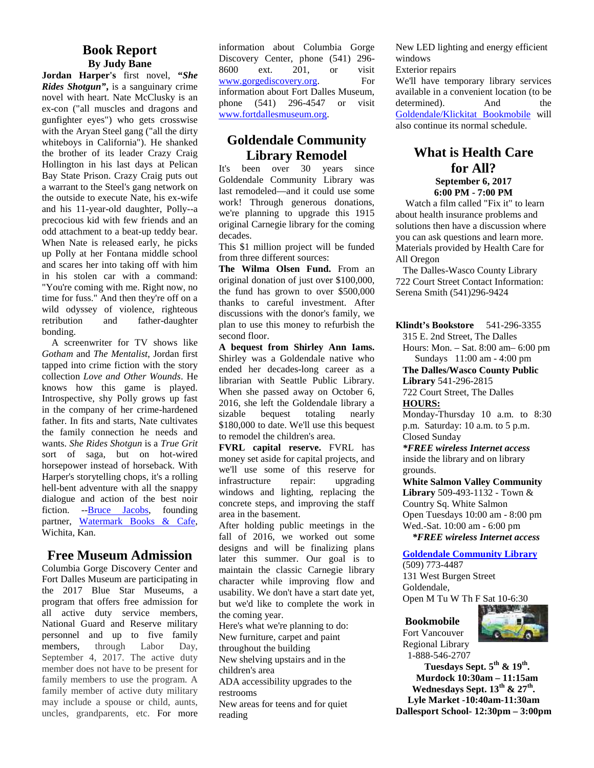## **Book Report By Judy Bane**

**Jordan Harper's** first novel, **"***She Rides Shotgun"***,** is a sanguinary crime novel with heart. Nate McClusky is an ex-con ("all muscles and dragons and gunfighter eyes") who gets crosswise with the Aryan Steel gang ("all the dirty whiteboys in California"). He shanked the brother of its leader Crazy Craig Hollington in his last days at Pelican It's Bay State Prison. Crazy Craig puts out a warrant to the Steel's gang network on the outside to execute Nate, his ex-wife and his 11-year-old daughter, Polly--a precocious kid with few friends and an odd attachment to a beat-up teddy bear. When Nate is released early, he picks up Polly at her Fontana middle school and scares her into taking off with him in his stolen car with a command: "You're coming with me. Right now, no time for fuss." And then they're off on a wild odyssey of violence, righteous retribution and father-daughter bonding.

A screenwriter for TV shows like *Gotham* and *The Mentalist*, Jordan first tapped into crime fiction with the story collection *Love and Other Wounds*. He knows how this game is played. Introspective, shy Polly grows up fast in the company of her crime-hardened  $\frac{2010}{\text{size}}$ father. In fits and starts, Nate cultivates the family connection he needs and wants. *She Rides Shotgun* is a *True Grit* sort of saga, but on hot-wired horsepower instead of horseback. With Harper's storytelling chops, it's a rolling hell-bent adventure with all the snappy dialogue and action of the best noir fiction. --Bruce Jacobs, founding partner, Watermark Books & Cafe, Wichita, Kan.

## **Free Museum Admission**

Columbia Gorge Discovery Center and Fort Dalles Museum are participating in the 2017 Blue Star Museums, a program that offers free admission for all active duty service members, National Guard and Reserve military personnel and up to five family<br>members, through Labor Day, members, through Labor Day, September 4, 2017. The active duty member does not have to be present for family members to use the program. A family member of active duty military may include a spouse or child, aunts, uncles, grandparents, etc. For more information about Columbia Gorge Discovery Center, phone (541) 296- 8600 ext. 201, or visit www.gorgediscovery.org. For information about Fort Dalles Museum, phone (541) 296-4547 or visit www.fortdallesmuseum.org.

## **Goldendale Community Library Remodel**

been over 30 years since Goldendale Community Library was last remodeled—and it could use some work! Through generous donations, we're planning to upgrade this 1915 original Carnegie library for the coming decades.

This \$1 million project will be funded from three different sources:

**The Wilma Olsen Fund.** From an original donation of just over \$100,000, the fund has grown to over \$500,000 thanks to careful investment. After discussions with the donor's family, we plan to use this money to refurbish the second floor.

**A bequest from Shirley Ann Iams.** Shirley was a Goldendale native who ended her decades-long career as a librarian with Seattle Public Library. When she passed away on October 6, 2016, she left the Goldendale library a bequest totaling nearly \$180,000 to date. We'll use this bequest to remodel the children's area.

**FVRL capital reserve.** FVRL has money set aside for capital projects, and we'll use some of this reserve for infrastructure repair: upgrading windows and lighting, replacing the concrete steps, and improving the staff area in the basement.

After holding public meetings in the fall of 2016, we worked out some designs and will be finalizing plans later this summer. Our goal is to maintain the classic Carnegie library character while improving flow and usability. We don't have a start date yet, but we'd like to complete the work in the coming year.

Here's what we're planning to do: New furniture, carpet and paint throughout the building New shelving upstairs and in the

children's area

ADA accessibility upgrades to the restrooms

New areas for teens and for quiet reading

New LED lighting and energy efficient windows

Exterior repairs

We'll have temporary library services available in a convenient location (to be determined). And the Goldendale/Klickitat Bookmobile will also continue its normal schedule.

## **What is Health Care for All? September 6, 2017**

**6:00 PM - 7:00 PM**

Watch a film called "Fix it" to learn about health insurance problems and solutions then have a discussion where you can ask questions and learn more. Materials provided by Health Care for All Oregon

The Dalles-Wasco County Library 722 Court Street Contact Information: Serena Smith (541)296-9424

**Klindt's Bookstore** 541-296-3355 315 E. 2nd Street, The Dalles Hours: Mon. – Sat. 8:00 am– 6:00 pm Sundays 11:00 am - 4:00 pm **The Dalles/Wasco County Public Library** 541-296-2815 722 Court Street, The Dalles

**HOURS:**

Monday-Thursday 10 a.m. to 8:30 p.m. Saturday: 10 a.m. to 5 p.m. Closed Sunday

*\*FREE wireless Internet access* inside the library and on library grounds.

**White Salmon Valley Community Library** 509-493-1132 - Town & Country Sq. White Salmon Open Tuesdays 10:00 am - 8:00 pm Wed.-Sat. 10:00 am - 6:00 pm  *\*FREE wireless Internet access*

**Goldendale Community Library**

(509) 773-4487 131 West Burgen Street Goldendale, Open M Tu W Th F Sat 10-6:30



**Bookmobile** Fort Vancouver Regional Library 1-888-546-2707

**Tuesdays Sept. 5 th & 19th . Murdock 10:30am – 11:15am Wednesdays Sept. 13th & 27th . Lyle Market -10:40am-11:30am Dallesport School- 12:30pm – 3:00pm**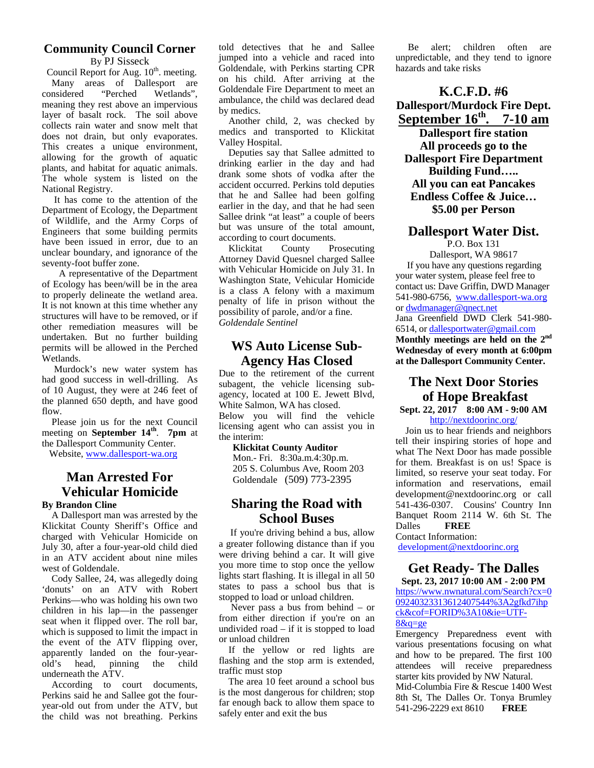#### **Community Council Corner** By PJ Sisseck

Council Report for Aug. 10<sup>th</sup>. meeting. Many areas of Dallesport are considered "Perched Wetlands", meaning they rest above an impervious layer of basalt rock. The soil above collects rain water and snow melt that does not drain, but only evaporates. This creates a unique environment, allowing for the growth of aquatic plants, and habitat for aquatic animals. The whole system is listed on the National Registry.

It has come to the attention of the Department of Ecology, the Department of Wildlife, and the Army Corps of Engineers that some building permits have been issued in error, due to an according to<br>Klickitat unclear boundary, and ignorance of the seventy-foot buffer zone.

 A representative of the Department of Ecology has been/will be in the area to properly delineate the wetland area. It is not known at this time whether any structures will have to be removed, or if other remediation measures will be undertaken. But no further building permits will be allowed in the Perched Wetlands.

Murdock's new water system has had good success in well-drilling. As of 10 August, they were at 246 feet of the planned 650 depth, and have good flow.

 Please join us for the next Council meeting on **September 14<sup>th</sup>**. **7pm** at the interthe Dallesport Community Center.

Website, www.dallesport-wa.org

## **Man Arrested For Vehicular Homicide**

#### **By Brandon Cline**

A Dallesport man was arrested by the Klickitat County Sheriff's Office and charged with Vehicular Homicide on July 30, after a four-year-old child died in an ATV accident about nine miles west of Goldendale.

Cody Sallee, 24, was allegedly doing 'donuts' on an ATV with Robert Perkins—who was holding his own two children in his lap—in the passenger seat when it flipped over. The roll bar, which is supposed to limit the impact in the event of the ATV flipping over, apparently landed on the four-year old's head, pinning the child underneath the ATV.

According to court documents, Perkins said he and Sallee got the four year-old out from under the ATV, but the child was not breathing. Perkins

told detectives that he and Sallee jumped into a vehicle and raced into Goldendale, with Perkins starting CPR on his child. After arriving at the Goldendale Fire Department to meet an ambulance, the child was declared dead by medics.

Another child, 2, was checked by medics and transported to Klickitat Valley Hospital.

Deputies say that Sallee admitted to drinking earlier in the day and had drank some shots of vodka after the accident occurred. Perkins told deputies that he and Sallee had been golfing earlier in the day, and that he had seen Sallee drink "at least" a couple of beers but was unsure of the total amount, according to court documents.

County Prosecuting Attorney David Quesnel charged Sallee with Vehicular Homicide on July 31. In Washington State, Vehicular Homicide is a class A felony with a maximum penalty of life in prison without the possibility of parole, and/or a fine. *Goldendale Sentinel*

## **WS Auto License Sub- Agency Has Closed**

Due to the retirement of the current subagent, the vehicle licensing sub agency, located at 100 E. Jewett Blvd, White Salmon, WA has closed. Below you will find the vehicle licensing agent who can assist you in the interim:

**Klickitat County Auditor** Mon.- Fri. 8:30a.m.4:30p.m. 205 S. Columbus Ave, Room 203 Goldendale (509) 773-2395

## **Sharing the Road with School Buses**

 $\frac{1}{2}$  If you're driving behind a bus, allow  $\frac{1}{2}$  Contact a greater following distance than if you were driving behind a car. It will give you more time to stop once the yellow lights start flashing. It is illegal in all 50 states to pass a school bus that is stopped to load or unload children.

Never pass a bus from behind – or from either direction if you're on an undivided road – if it is stopped to load or unload children

If the yellow or red lights are flashing and the stop arm is extended, traffic must stop

The area 10 feet around a school bus is the most dangerous for children; stop far enough back to allow them space to safely enter and exit the bus

Be alert; children often are unpredictable, and they tend to ignore hazards and take risks

**K.C.F.D. #6 Dallesport/Murdock Fire Dept. September 16th. 7-10 am**

**Dallesport fire station All proceeds go to the Dallesport Fire Department Building Fund….. All you can eat Pancakes Endless Coffee & Juice… \$5.00 per Person**

#### **Dallesport Water Dist.**

P.O. Box 131 Dallesport, WA 98617 If you have any questions regarding your water system, please feel free to contact us: Dave Griffin, DWD Manager 541-980-6756, www.dallesport-wa.org or dwdmanager@qnect.net Jana Greenfield DWD Clerk 541-980- 6514, or dallesportwater@gmail.com **Monthly meetings are held on the 2nd Wednesday of every month at 6:00pm at the Dallesport Community Center.**

## **The Next Door Stories of Hope Breakfast**

**Sept. 22, 2017 8:00 AM - 9:00 AM** http://nextdoorinc.org/

Join us to hear friends and neighbors tell their inspiring stories of hope and what The Next Door has made possible for them. Breakfast is on us! Space is limited, so reserve your seat today. For information and reservations, email development@nextdoorinc.org or call 541-436-0307. Cousins' Country Inn Banquet Room 2114 W. 6th St. The **FREE** 

Contact Information:

development@nextdoorinc.org

## **Get Ready- The Dalles**

**Sept. 23, 2017 10:00 AM - 2:00 PM** https://www.nwnatural.com/Search?cx=0 09240323313612407544%3A2gfkd7ihp ck&cof=FORID%3A10&ie=UTF- 8&q=ge

Emergency Preparedness event with various presentations focusing on what and how to be prepared. The first 100 attendees will receive preparedness starter kits provided by NW Natural.

Mid-Columbia Fire & Rescue 1400 West 8th St, The Dalles Or. Tonya Brumley 541-296-2229 ext 8610 **FREE**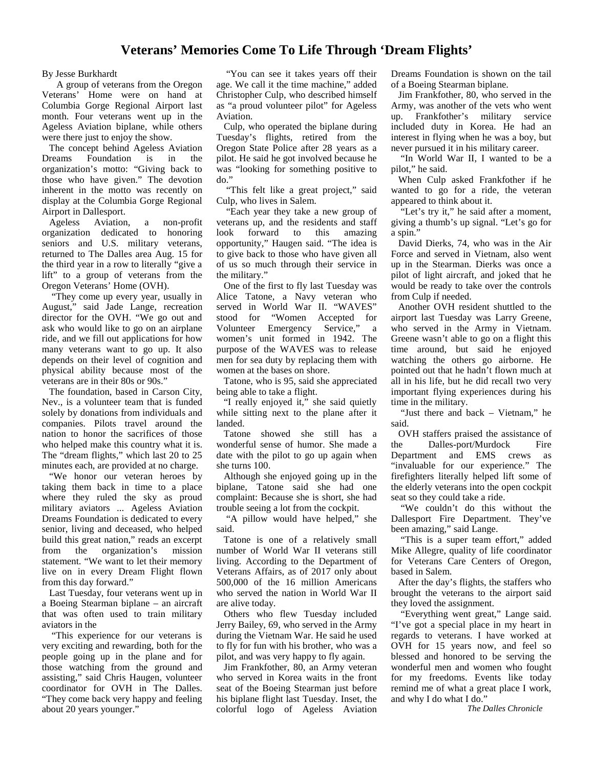## **Veterans' Memories Come To Life Through 'Dream Flights'**

#### By Jesse Burkhardt

A group of veterans from the Oregon Veterans' Home were on hand at Columbia Gorge Regional Airport last month. Four veterans went up in the Ageless Aviation biplane, while others were there just to enjoy the show.

The concept behind Ageless Aviation Dreams Foundation is in the organization's motto: "Giving back to those who have given." The devotion inherent in the motto was recently on display at the Columbia Gorge Regional Airport in Dallesport.

Ageless Aviation, a non-profit organization dedicated to honoring seniors and U.S. military veterans, returned to The Dalles area Aug. 15 for the third year in a row to literally "give a lift" to a group of veterans from the Oregon Veterans' Home (OVH).

 "They come up every year, usually in August," said Jade Lange, recreation director for the OVH. "We go out and ask who would like to go on an airplane ride, and we fill out applications for how many veterans want to go up. It also depends on their level of cognition and physical ability because most of the veterans are in their 80s or 90s."

The foundation, based in Carson City, Nev., is a volunteer team that is funded solely by donations from individuals and companies. Pilots travel around the nation to honor the sacrifices of those who helped make this country what it is. The "dream flights," which last 20 to 25 minutes each, are provided at no charge.

"We honor our veteran heroes by taking them back in time to a place where they ruled the sky as proud military aviators ... Ageless Aviation Dreams Foundation is dedicated to every senior, living and deceased, who helped build this great nation," reads an excerpt from the organization's mission statement. "We want to let their memory live on in every Dream Flight flown from this day forward."

Last Tuesday, four veterans went up in a Boeing Stearman biplane – an aircraft that was often used to train military aviators in the

"This experience for our veterans is very exciting and rewarding, both for the people going up in the plane and for those watching from the ground and assisting," said Chris Haugen, volunteer coordinator for OVH in The Dalles. "They come back very happy and feeling about 20 years younger."

 "You can see it takes years off their age. We call it the time machine," added Christopher Culp, who described himself as "a proud volunteer pilot" for Ageless Aviation.

Culp, who operated the biplane during Tuesday's flights, retired from the Oregon State Police after 28 years as a pilot. He said he got involved because he was "looking for something positive to do."

 "This felt like a great project," said Culp, who lives in Salem.

 "Each year they take a new group of veterans up, and the residents and staff forward to this amazing opportunity," Haugen said. "The idea is to give back to those who have given all of us so much through their service in the military."

One of the first to fly last Tuesday was Alice Tatone, a Navy veteran who served in World War II. "WAVES" stood for "Women Accepted for Volunteer Emergency Service," a women's unit formed in 1942. The purpose of the WAVES was to release men for sea duty by replacing them with women at the bases on shore.

Tatone, who is 95, said she appreciated being able to take a flight.

 "I really enjoyed it," she said quietly while sitting next to the plane after it landed.

Tatone showed she still has a wonderful sense of humor. She made a date with the pilot to go up again when she turns 100.

Although she enjoyed going up in the biplane, Tatone said she had one complaint: Because she is short, she had trouble seeing a lot from the cockpit.

 "A pillow would have helped," she said.

Tatone is one of a relatively small number of World War II veterans still living. According to the Department of Veterans Affairs, as of 2017 only about 500,000 of the 16 million Americans who served the nation in World War II are alive today.

Others who flew Tuesday included Jerry Bailey, 69, who served in the Army during the Vietnam War. He said he used to fly for fun with his brother, who was a pilot, and was very happy to fly again.

Jim Frankfother, 80, an Army veteran who served in Korea waits in the front seat of the Boeing Stearman just before his biplane flight last Tuesday. Inset, the colorful logo of Ageless Aviation

Dreams Foundation is shown on the tail of a Boeing Stearman biplane.

Jim Frankfother, 80, who served in the Army, was another of the vets who went up. Frankfother's military service included duty in Korea. He had an interest in flying when he was a boy, but never pursued it in his military career.

 "In World War II, I wanted to be a pilot," he said.

When Culp asked Frankfother if he wanted to go for a ride, the veteran appeared to think about it.

"Let's try it," he said after a moment, giving a thumb's up signal. "Let's go for a spin."

David Dierks, 74, who was in the Air Force and served in Vietnam, also went up in the Stearman. Dierks was once a pilot of light aircraft, and joked that he would be ready to take over the controls from Culp if needed.

Another OVH resident shuttled to the airport last Tuesday was Larry Greene, who served in the Army in Vietnam. Greene wasn't able to go on a flight this time around, but said he enjoyed watching the others go airborne. He pointed out that he hadn't flown much at all in his life, but he did recall two very important flying experiences during his time in the military.

 "Just there and back – Vietnam," he said.

OVH staffers praised the assistance of Dalles-port/Murdock Fire Department and EMS crews as "invaluable for our experience." The firefighters literally helped lift some of the elderly veterans into the open cockpit seat so they could take a ride.

 "We couldn't do this without the Dallesport Fire Department. They've been amazing," said Lange.

 "This is a super team effort," added Mike Allegre, quality of life coordinator for Veterans Care Centers of Oregon, based in Salem.

After the day's flights, the staffers who brought the veterans to the airport said they loved the assignment.

 "Everything went great," Lange said. "I've got a special place in my heart in regards to veterans. I have worked at OVH for 15 years now, and feel so blessed and honored to be serving the wonderful men and women who fought for my freedoms. Events like today remind me of what a great place I work, and why I do what I do."

*The Dalles Chronicle*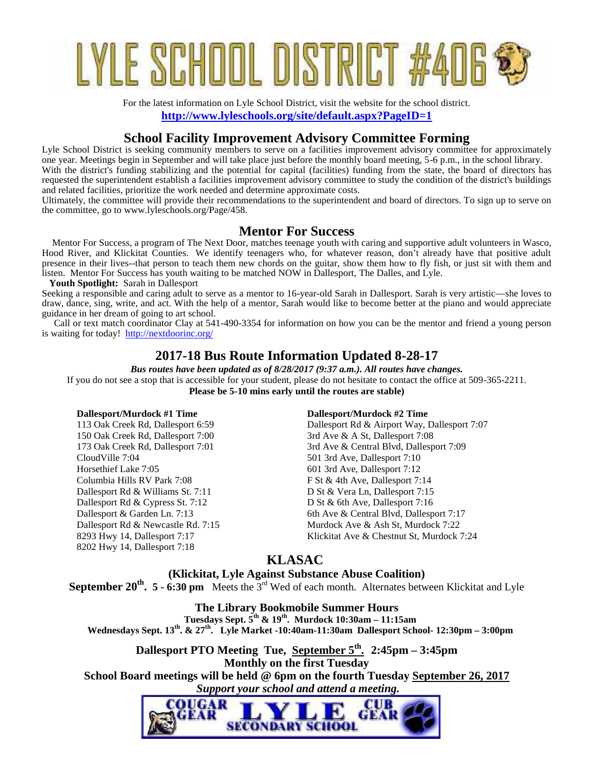# YLE SCHOOL DISTRICT #

For the latest information on Lyle School District, visit the website for the school district. **http://www.lyleschools.org/site/default.aspx?PageID=1**

## **School Facility Improvement Advisory Committee Forming**

Lyle School District is seeking community members to serve on a facilities improvement advisory committee for approximately one year. Meetings begin in September and will take place just before the monthly board meeting, 5-6 p.m., in the school library. With the district's funding stabilizing and the potential for capital (facilities) funding from the state, the board of directors has requested the superintendent establish a facilities improvement advisory committee to study the condition of the district's buildings and related facilities, prioritize the work needed and determine approximate costs.

Ultimately, the committee will provide their recommendations to the superintendent and board of directors. To sign up to serve on the committee, go to www.lyleschools.org/Page/458.

## **Mentor For Success**

 Mentor For Success, a program of The Next Door, matches teenage youth with caring and supportive adult volunteers in Wasco, Hood River, and Klickitat Counties. We identify teenagers who, for whatever reason, don't already have that positive adult presence in their lives--that person to teach them new chords on the guitar, show them how to fly fish, or just sit with them and listen. Mentor For Success has youth waiting to be matched NOW in Dallesport, The Dalles, and Lyle.

 **Youth Spotlight:** Sarah in Dallesport

Seeking a responsible and caring adult to serve as a mentor to 16-year-old Sarah in Dallesport. Sarah is very artistic—she loves to draw, dance, sing, write, and act. With the help of a mentor, Sarah would like to become better at the piano and would appreciate guidance in her dream of going to art school.

 Call or text match coordinator Clay at 541-490-3354 for information on how you can be the mentor and friend a young person is waiting for today! http://nextdoorinc.org/

## **2017-18 Bus Route Information Updated 8-28-17**

*Bus routes have been updated as of 8/28/2017 (9:37 a.m.). All routes have changes.* If you do not see a stop that is accessible for your student, please do not hesitate to contact the office at 509-365-2211. **Please be 5-10 mins early until the routes are stable)**

#### **Dallesport/Murdock #1 Time**

113 Oak Creek Rd, Dallesport 6:59 150 Oak Creek Rd, Dallesport 7:00 173 Oak Creek Rd, Dallesport 7:01 CloudVille 7:04 Horsethief Lake 7:05 Columbia Hills RV Park 7:08 Dallesport Rd & Williams St. 7:11 Dallesport Rd & Cypress St. 7:12 Dallesport & Garden Ln. 7:13 Dallesport Rd & Newcastle Rd. 7:15 8293 Hwy 14, Dallesport 7:17 8202 Hwy 14, Dallesport 7:18

#### **Dallesport/Murdock #2 Time**

Dallesport Rd & Airport Way, Dallesport 7:07 3rd Ave & A St, Dallesport 7:08 3rd Ave & Central Blvd, Dallesport 7:09 501 3rd Ave, Dallesport 7:10 601 3rd Ave, Dallesport 7:12 F St & 4th Ave, Dallesport 7:14 D St & Vera Ln, Dallesport 7:15 D St & 6th Ave, Dallesport 7:16 6th Ave & Central Blvd, Dallesport 7:17 Murdock Ave & Ash St, Murdock 7:22 Klickitat Ave & Chestnut St, Murdock 7:24

## **KLASAC**

**(Klickitat, Lyle Against Substance Abuse Coalition)**

**September 20th . 5 - 6:30 pm** Meets the 3rd Wed of each month. Alternates between Klickitat and Lyle

**The Library Bookmobile Summer Hours Tuesdays Sept. 5th & 19th. Murdock 10:30am – 11:15am Wednesdays Sept. 13th. & 27th. Lyle Market -10:40am-11:30am Dallesport School- 12:30pm – 3:00pm**

**Dallesport PTO Meeting Tue, September 5th . 2:45pm – 3:45pm Monthly on the first Tuesday School Board meetings will be held @ 6pm on the fourth Tuesday September 26, 2017**  *Support your school and attend a meeting.*

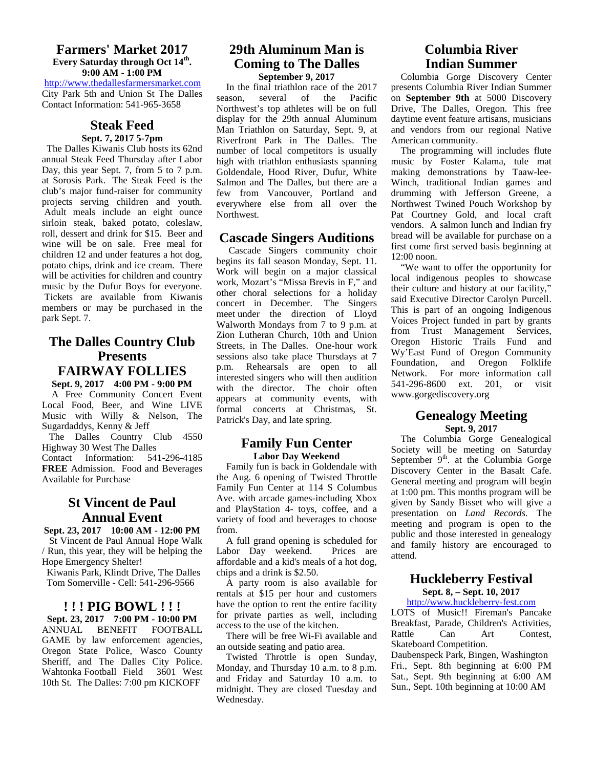#### **Farmers' Market 2017 Every Saturday through Oct 14th . 9:00 AM - 1:00 PM**

http://www.thedallesfarmersmarket.com City Park 5th and Union St The Dalles Contact Information: 541-965-3658

#### **Steak Feed Sept. 7, 2017 5-7pm**

The Dalles Kiwanis Club hosts its 62nd annual Steak Feed Thursday after Labor Day, this year Sept. 7, from 5 to 7 p.m. at Sorosis Park. The Steak Feed is the club's major fund-raiser for community projects serving children and youth. Adult meals include an eight ounce sirloin steak, baked potato, coleslaw, roll, dessert and drink for \$15. Beer and wine will be on sale. Free meal for children 12 and under features a hot dog, potato chips, drink and ice cream. There will be activities for children and country music by the Dufur Boys for everyone. Tickets are available from Kiwanis members or may be purchased in the park Sept. 7.

## **The Dalles Country Club Presents FAIRWAY FOLLIES**

**Sept. 9, 2017 4:00 PM - 9:00 PM** A Free Community Concert Event Local Food, Beer, and Wine LIVE Music with Willy & Nelson, The Sugardaddys, Kenny & Jeff

The Dalles Country Club 4550 Highway 30 West The Dalles

Contact Information: 541-296-4185 **FREE** Admission. Food and Beverages Available for Purchase

## **St Vincent de Paul Annual Event**

**Sept. 23, 2017 10:00 AM - 12:00 PM** St Vincent de Paul Annual Hope Walk / Run, this year, they will be helping the Hope Emergency Shelter!

Kiwanis Park, Klindt Drive, The Dalles Tom Somerville - Cell: 541-296-9566

#### **! ! ! PIG BOWL ! ! !**

**Sept. 23, 2017 7:00 PM - 10:00 PM** ANNUAL BENEFIT FOOTBALL GAME by law enforcement agencies, Oregon State Police, Wasco County Sheriff, and The Dalles City Police.<br>Wahtonka Football Field 3601 West Wahtonka Football Field 10th St. The Dalles: 7:00 pm KICKOFF

#### **29th Aluminum Man is Coming to The Dalles September 9, 2017**

 In the final triathlon race of the 2017 several of the Pacific Northwest's top athletes will be on full display for the 29th annual Aluminum Man Triathlon on Saturday, Sept. 9, at Riverfront Park in The Dalles. The number of local competitors is usually high with triathlon enthusiasts spanning Goldendale, Hood River, Dufur, White Salmon and The Dalles, but there are a few from Vancouver, Portland and everywhere else from all over the Northwest.

#### **Cascade Singers Auditions**

Cascade Singers community choir begins its fall season Monday, Sept. 11. Work will begin on a major classical work, Mozart's "Missa Brevis in F," and other choral selections for a holiday concert in December. The Singers meet under the direction of Lloyd Walworth Mondays from 7 to 9 p.m. at Zion Lutheran Church, 10th and Union Streets, in The Dalles. One-hour work sessions also take place Thursdays at 7 p.m. Rehearsals are open to all interested singers who will then audition with the director. The choir often appears at community events, with formal concerts at Christmas, St. Patrick's Day, and late spring.

#### **Family Fun Center Labor Day Weekend**

 Family fun is back in Goldendale with the Aug. 6 opening of Twisted Throttle Family Fun Center at 114 S Columbus Ave. with arcade games-including Xbox and PlayStation 4- toys, coffee, and a variety of food and beverages to choose from.

 A full grand opening is scheduled for Labor Day weekend. Prices are affordable and a kid's meals of a hot dog, chips and a drink is \$2.50.

 A party room is also available for rentals at \$15 per hour and customers have the option to rent the entire facility for private parties as well, including access to the use of the kitchen.

There will be free Wi-Fi available and Rattle an outside seating and patio area.

 Twisted Throttle is open Sunday, Monday, and Thursday 10 a.m. to 8 p.m. and Friday and Saturday 10 a.m. to midnight. They are closed Tuesday and Wednesday.

## **Columbia River Indian Summer**

Columbia Gorge Discovery Center presents Columbia River Indian Summer on **September 9th** at 5000 Discovery Drive, The Dalles, Oregon. This free daytime event feature artisans, musicians and vendors from our regional Native American community.

The programming will includes flute music by Foster Kalama, tule mat making demonstrations by Taaw-lee- Winch, traditional Indian games and drumming with Jefferson Greene, a Northwest Twined Pouch Workshop by Pat Courtney Gold, and local craft vendors. A salmon lunch and Indian fry bread will be available for purchase on a first come first served basis beginning at 12:00 noon.

 "We want to offer the opportunity for local indigenous peoples to showcase their culture and history at our facility," said Executive Director Carolyn Purcell. This is part of an ongoing Indigenous Voices Project funded in part by grants from Trust Management Services, Oregon Historic Trails Fund and Wy'East Fund of Oregon Community Foundation, and Oregon Folklife Network. For more information call 541-296-8600 ext. 201, or visit www.gorgediscovery.org

#### **Genealogy Meeting Sept. 9, 2017**

The Columbia Gorge Genealogical Society will be meeting on Saturday September  $9<sup>th</sup>$  at the Columbia Gorge Discovery Center in the Basalt Cafe. General meeting and program will begin at 1:00 pm. This months program will be given by Sandy Bisset who will give a presentation on *Land Records.* The meeting and program is open to the public and those interested in genealogy and family history are encouraged to attend.

#### **Huckleberry Festival Sept. 8, – Sept. 10, 2017**

### http://www.huckleberry-fest.com

LOTS of Music!! Fireman's Pancake Breakfast, Parade, Children's Activities, Can Art Contest, Skateboard Competition.

Daubenspeck Park, Bingen, Washington Fri., Sept. 8th beginning at 6:00 PM Sat., Sept. 9th beginning at 6:00 AM Sun., Sept. 10th beginning at 10:00 AM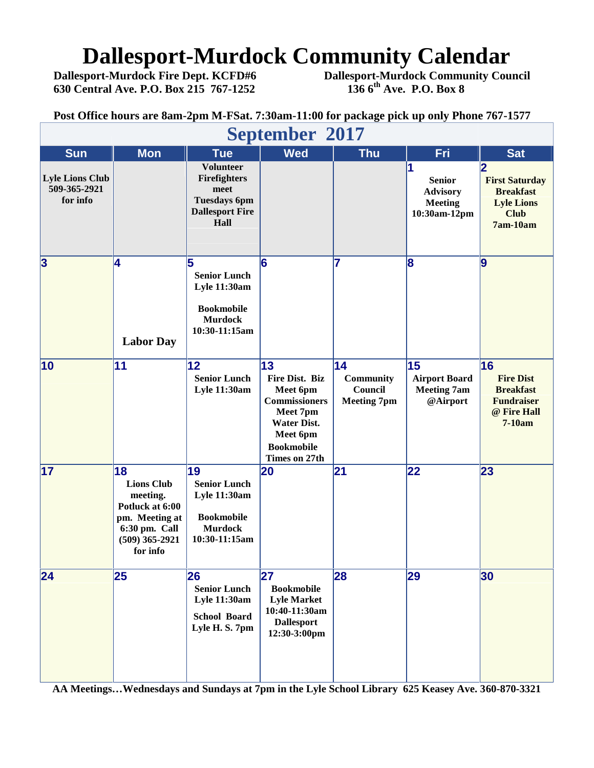## **Dallesport-Murdock Community Calendar**<br>Dallesport-Murdock Fire Dept. KCFD#6 Dallesport-Murdock Community Cour

**630 Central Ave. P.O. Box 215 767-1252 136 6th Ave. P.O. Box 8**

**Dallesport-Murdock Fire Dept. KCFD#6 Dallesport-Murdock Community Council**

**Post Office hours are 8am-2pm M-FSat. 7:30am-11:00 for package pick up only Phone 767-1577**

| September 2017                                     |                                                                                                                           |                                                                                                          |                                                                                                                                              |                                                         |                                                                    |                                                                                                 |  |  |  |
|----------------------------------------------------|---------------------------------------------------------------------------------------------------------------------------|----------------------------------------------------------------------------------------------------------|----------------------------------------------------------------------------------------------------------------------------------------------|---------------------------------------------------------|--------------------------------------------------------------------|-------------------------------------------------------------------------------------------------|--|--|--|
| <b>Sun</b>                                         | <b>Mon</b>                                                                                                                | <b>Tue</b>                                                                                               | <b>Wed</b>                                                                                                                                   | <b>Thu</b>                                              | Fri                                                                | <b>Sat</b>                                                                                      |  |  |  |
| <b>Lyle Lions Club</b><br>509-365-2921<br>for info |                                                                                                                           | <b>Volunteer</b><br>Firefighters<br>meet<br><b>Tuesdays 6pm</b><br><b>Dallesport Fire</b><br>Hall        |                                                                                                                                              |                                                         | <b>Senior</b><br><b>Advisory</b><br><b>Meeting</b><br>10:30am-12pm | 12<br><b>First Saturday</b><br><b>Breakfast</b><br><b>Lyle Lions</b><br><b>Club</b><br>7am-10am |  |  |  |
| $\overline{\mathbf{3}}$                            | 14<br><b>Labor Day</b>                                                                                                    | 5<br><b>Senior Lunch</b><br><b>Lyle 11:30am</b><br><b>Bookmobile</b><br><b>Murdock</b><br>10:30-11:15am  | 6                                                                                                                                            | 7                                                       | $\bf{8}$                                                           | 9                                                                                               |  |  |  |
| 10                                                 | 11                                                                                                                        | 12<br><b>Senior Lunch</b><br><b>Lyle 11:30am</b>                                                         | 13<br>Fire Dist. Biz<br>Meet 6pm<br><b>Commissioners</b><br>Meet 7pm<br><b>Water Dist.</b><br>Meet 6pm<br><b>Bookmobile</b><br>Times on 27th | 14<br><b>Community</b><br>Council<br><b>Meeting 7pm</b> | 15<br><b>Airport Board</b><br><b>Meeting 7am</b><br>@Airport       | 16<br><b>Fire Dist</b><br><b>Breakfast</b><br><b>Fundraiser</b><br>@ Fire Hall<br>7-10am        |  |  |  |
| 17                                                 | 18<br><b>Lions Club</b><br>meeting.<br>Potluck at 6:00<br>pm. Meeting at<br>6:30 pm. Call<br>$(509)$ 365-2921<br>for info | 19<br><b>Senior Lunch</b><br><b>Lyle 11:30am</b><br><b>Bookmobile</b><br><b>Murdock</b><br>10:30-11:15am | 20                                                                                                                                           | 21                                                      | 22                                                                 | 23                                                                                              |  |  |  |
| 24                                                 | 25                                                                                                                        | 26<br><b>Senior Lunch</b><br><b>Lyle 11:30am</b><br><b>School Board</b><br>Lyle H. S. 7pm                | 27<br><b>Bookmobile</b><br><b>Lyle Market</b><br>10:40-11:30am<br><b>Dallesport</b><br>12:30-3:00pm                                          | 28                                                      | 29                                                                 | 30                                                                                              |  |  |  |

**AA Meetings…Wednesdays and Sundays at 7pm in the Lyle School Library 625 Keasey Ave. 360-870-3321**